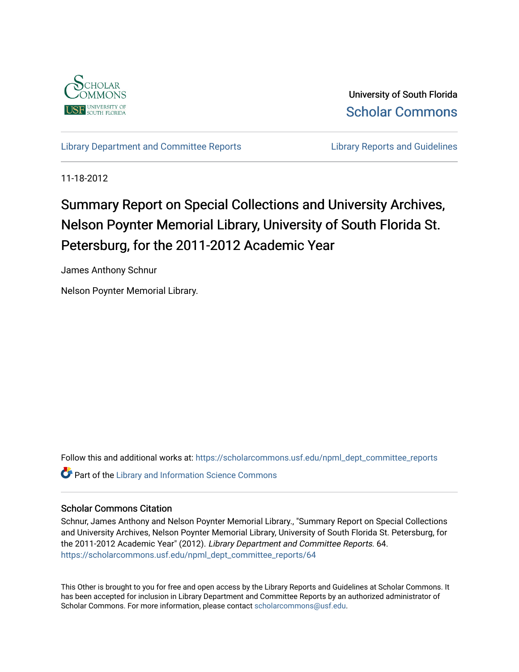

University of South Florida [Scholar Commons](https://scholarcommons.usf.edu/) 

[Library Department and Committee Reports](https://scholarcommons.usf.edu/npml_dept_committee_reports) **Library Reports and Guidelines** 

11-18-2012

# Summary Report on Special Collections and University Archives, Nelson Poynter Memorial Library, University of South Florida St. Petersburg, for the 2011-2012 Academic Year

James Anthony Schnur

Nelson Poynter Memorial Library.

Follow this and additional works at: [https://scholarcommons.usf.edu/npml\\_dept\\_committee\\_reports](https://scholarcommons.usf.edu/npml_dept_committee_reports?utm_source=scholarcommons.usf.edu%2Fnpml_dept_committee_reports%2F64&utm_medium=PDF&utm_campaign=PDFCoverPages) **Part of the Library and Information Science Commons** 

#### Scholar Commons Citation

Schnur, James Anthony and Nelson Poynter Memorial Library., "Summary Report on Special Collections and University Archives, Nelson Poynter Memorial Library, University of South Florida St. Petersburg, for the 2011-2012 Academic Year" (2012). Library Department and Committee Reports. 64. [https://scholarcommons.usf.edu/npml\\_dept\\_committee\\_reports/64](https://scholarcommons.usf.edu/npml_dept_committee_reports/64?utm_source=scholarcommons.usf.edu%2Fnpml_dept_committee_reports%2F64&utm_medium=PDF&utm_campaign=PDFCoverPages) 

This Other is brought to you for free and open access by the Library Reports and Guidelines at Scholar Commons. It has been accepted for inclusion in Library Department and Committee Reports by an authorized administrator of Scholar Commons. For more information, please contact [scholarcommons@usf.edu](mailto:scholarcommons@usf.edu).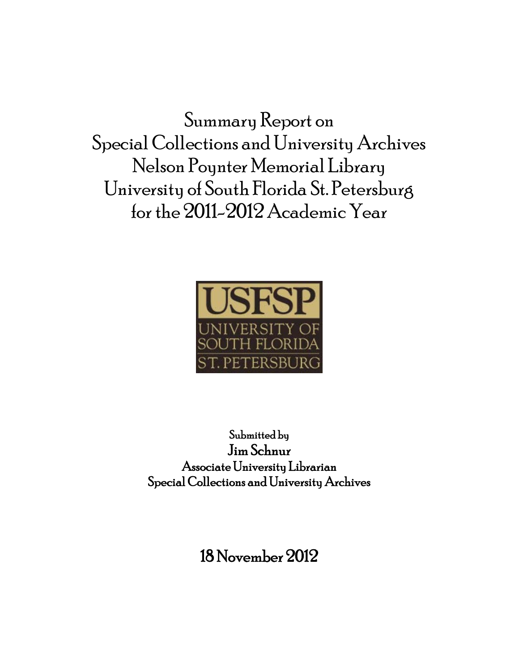Summary Report on Special Collections and University Archives Nelson Poynter Memorial Library University of South Florida St. Petersburg for the 2011-2012 Academic Year



Submitted by Jim Schnur Associate University Librarian Special Collections and University Archives

18 November 2012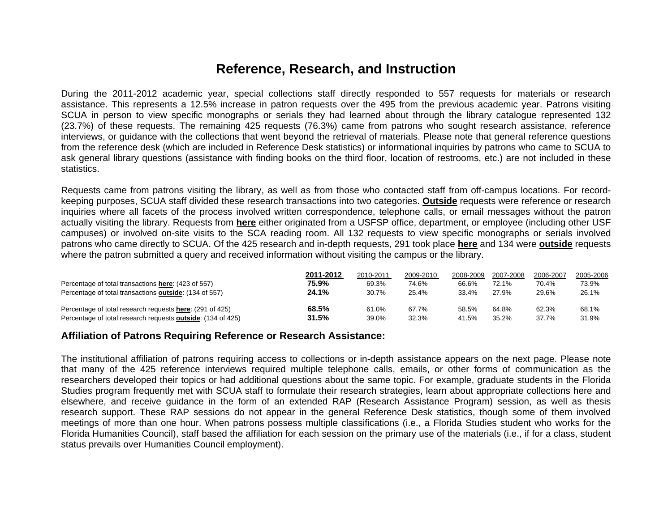### **Reference, Research, and Instruction**

During the 2011-2012 academic year, special collections staff directly responded to 557 requests for materials or research assistance. This represents a 12.5% increase in patron requests over the 495 from the previous academic year. Patrons visiting SCUA in person to view specific monographs or serials they had learned about through the library catalogue represented 132 (23.7%) of these requests. The remaining 425 requests (76.3%) came from patrons who sought research assistance, reference interviews, or guidance with the collections that went beyond the retrieval of materials. Please note that general reference questions from the reference desk (which are included in Reference Desk statistics) or informational inquiries by patrons who came to SCUA to ask general library questions (assistance with finding books on the third floor, location of restrooms, etc.) are not included in these statistics.

Requests came from patrons visiting the library, as well as from those who contacted staff from off-campus locations. For recordkeeping purposes, SCUA staff divided these research transactions into two categories. **Outside** requests were reference or research inquiries where all facets of the process involved written correspondence, telephone calls, or email messages without the patron actually visiting the library. Requests from **here** either originated from a USFSP office, department, or employee (including other USF campuses) or involved on-site visits to the SCA reading room. All 132 requests to view specific monographs or serials involved patrons who came directly to SCUA. Of the 425 research and in-depth requests, 291 took place **here** and 134 were **outside** requests where the patron submitted a query and received information without visiting the campus or the library.

|                                                                     | 2011-2012 | 2010-2011 | 2009-2010 | 2008-2009 | 2007-2008 | 2006-2007 | 2005-2006 |
|---------------------------------------------------------------------|-----------|-----------|-----------|-----------|-----------|-----------|-----------|
| Percentage of total transactions here: (423 of 557)                 | 75.9%     | 69.3%     | 74.6%     | 66.6%     | 72.1%     | 70.4%     | 73.9%     |
| Percentage of total transactions outside: (134 of 557)              | 24.1%     | 30.7%     | 25.4%     | 33.4%     | 27.9%     | 29.6%     | 26.1%     |
| Percentage of total research requests here: (291 of 425)            | 68.5%     | 61.0%     | 67.7%     | 58.5%     | 64.8%     | 62.3%     | 68.1%     |
| Percentage of total research requests <b>outside</b> : (134 of 425) | 31.5%     | 39.0%     | 32.3%     | 41.5%     | 35.2%     | 37.7%     | 31.9%     |

#### **Affiliation of Patrons Requiring Reference or Research Assistance:**

The institutional affiliation of patrons requiring access to collections or in-depth assistance appears on the next page. Please note that many of the 425 reference interviews required multiple telephone calls, emails, or other forms of communication as the researchers developed their topics or had additional questions about the same topic. For example, graduate students in the Florida Studies program frequently met with SCUA staff to formulate their research strategies, learn about appropriate collections here and elsewhere, and receive guidance in the form of an extended RAP (Research Assistance Program) session, as well as thesis research support. These RAP sessions do not appear in the general Reference Desk statistics, though some of them involved meetings of more than one hour. When patrons possess multiple classifications (i.e., a Florida Studies student who works for the Florida Humanities Council), staff based the affiliation for each session on the primary use of the materials (i.e., if for a class, student status prevails over Humanities Council employment).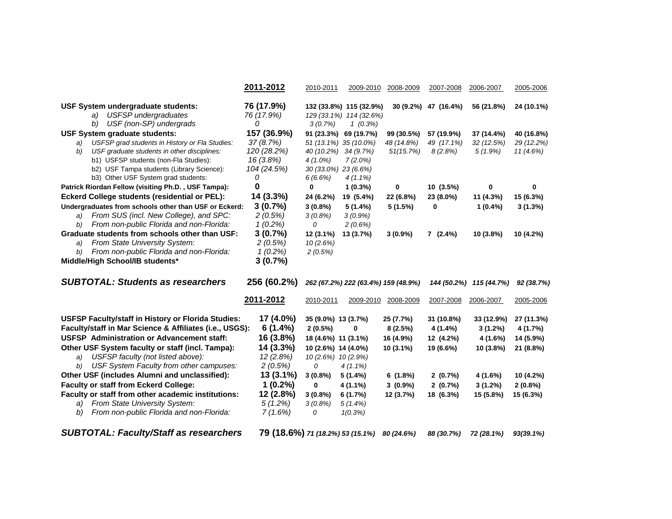|                                                                                                       | 2011-2012                        | 2010-2011            | 2009-2010                                                        | 2008-2009  | 2007-2008            | 2006-2007               | 2005-2006  |
|-------------------------------------------------------------------------------------------------------|----------------------------------|----------------------|------------------------------------------------------------------|------------|----------------------|-------------------------|------------|
| <b>USF System undergraduate students:</b><br>a) USFSP undergraduates<br>USF (non-SP) undergrads<br>b) | 76 (17.9%)<br>76 (17.9%)<br>0    | 3(0.7%)              | 132 (33.8%) 115 (32.9%)<br>129 (33.1%) 114 (32.6%)<br>$1(0.3\%)$ |            | 30 (9.2%) 47 (16.4%) | 56 (21.8%)              | 24 (10.1%) |
| <b>USF System graduate students:</b>                                                                  | 157 (36.9%)                      |                      | 91 (23.3%) 69 (19.7%)                                            | 99 (30.5%) | 57 (19.9%)           | 37 (14.4%)              | 40 (16.8%) |
| USFSP grad students in History or Fla Studies:<br>a)                                                  | 37(8.7%)                         |                      | 51 (13.1%) 35 (10.0%)                                            | 48 (14.8%) | 49 (17.1%)           | 32 (12.5%)              | 29 (12.2%) |
| USF graduate students in other disciplines:<br>b)                                                     | 120 (28.2%)                      | 40 (10.2%)           | 34 (9.7%)                                                        | 51(15.7%)  | 8(2.8%)              | $5(1.9\%)$              | 11 (4.6%)  |
| b1) USFSP students (non-Fla Studies):                                                                 | 16 (3.8%)                        | $4(1.0\%)$           | $7(2.0\%)$                                                       |            |                      |                         |            |
| b2) USF Tampa students (Library Science):                                                             | 104 (24.5%)                      | 30 (33.0%) 23 (6.6%) |                                                                  |            |                      |                         |            |
| b3) Other USF System grad students:                                                                   | 0                                | 6(6.6%)              | $4(1.1\%)$                                                       |            |                      |                         |            |
| Patrick Riordan Fellow (visiting Ph.D., USF Tampa):                                                   | 0                                | 0                    | $1(0.3\%)$                                                       | 0          | 10(3.5%)             | 0                       | 0          |
| <b>Eckerd College students (residential or PEL):</b>                                                  | 14 (3.3%)                        | 24 (6.2%)            | 19 (5.4%)                                                        | 22 (6.8%)  | 23 (8.0%)            | 11 (4.3%)               | 15 (6.3%)  |
| Undergraduates from schools other than USF or Eckerd:                                                 | 3(0.7%)                          | $3(0.8\%)$           | 5(1.4%)                                                          | 5(1.5%)    | 0                    | $1(0.4\%)$              | $3(1.3\%)$ |
| From SUS (incl. New College), and SPC:<br>a)                                                          | 2(0.5%)                          | 3(0.8%)              | $3(0.9\%)$                                                       |            |                      |                         |            |
| b) From non-public Florida and non-Florida:                                                           | $1(0.2\%)$                       | 0                    | 2(0.6%)                                                          |            |                      |                         |            |
| Graduate students from schools other than USF:                                                        | 3(0.7%)                          | 12 (3.1%)            | 13 (3.7%)                                                        | $3(0.9\%)$ | $7(2.4\%)$           | 10 (3.8%)               | 10 (4.2%)  |
| From State University System:<br>a)                                                                   | 2(0.5%)                          | 10(2.6%)             |                                                                  |            |                      |                         |            |
| From non-public Florida and non-Florida:<br>b)                                                        | $1(0.2\%)$                       | 2(0.5%)              |                                                                  |            |                      |                         |            |
| Middle/High School/IB students*                                                                       | 3(0.7%)                          |                      |                                                                  |            |                      |                         |            |
| <b>SUBTOTAL: Students as researchers</b>                                                              | 256 (60.2%)                      |                      | 262 (67.2%) 222 (63.4%) 159 (48.9%)                              |            |                      | 144 (50.2%) 115 (44.7%) | 92 (38.7%) |
|                                                                                                       | 2011-2012                        | 2010-2011            | 2009-2010                                                        | 2008-2009  | 2007-2008            | 2006-2007               | 2005-2006  |
| USFSP Faculty/staff in History or Florida Studies:                                                    | 17 (4.0%)                        | 35 (9.0%) 13 (3.7%)  |                                                                  | 25 (7.7%)  | 31 (10.8%)           | 33 (12.9%)              | 27 (11.3%) |
| Faculty/staff in Mar Science & Affiliates (i.e., USGS):                                               | 6(1.4%)                          | $2(0.5\%)$           | 0                                                                | 8(2.5%)    | 4 (1.4%)             | $3(1.2\%)$              | 4 (1.7%)   |
| <b>USFSP</b> Administration or Advancement staff:                                                     | 16 (3.8%)                        | 18 (4.6%) 11 (3.1%)  |                                                                  | 16 (4.9%)  | 12 (4.2%)            | 4 (1.6%)                | 14 (5.9%)  |
| Other USF System faculty or staff (incl. Tampa):                                                      | 14 (3.3%)                        | 10 (2.6%) 14 (4.0%)  |                                                                  | 10 (3.1%)  | 19 (6.6%)            | 10 (3.8%)               | 21 (8.8%)  |
| USFSP faculty (not listed above):<br>a)                                                               | 12(2.8%)                         | 10 (2.6%) 10 (2.9%)  |                                                                  |            |                      |                         |            |
| b) USF System Faculty from other campuses:                                                            | 2(0.5%)                          | 0                    | $4(1.1\%)$                                                       |            |                      |                         |            |
| Other USF (includes Alumni and unclassified):                                                         | 13 (3.1%)                        | $3(0.8\%)$           | 5(1.4%)                                                          | 6(1.8%)    | 2(0.7%)              | 4 (1.6%)                | 10 (4.2%)  |
| <b>Faculty or staff from Eckerd College:</b>                                                          | $1(0.2\%)$                       | 0                    | 4 (1.1%)                                                         | $3(0.9\%)$ | 2(0.7%)              | 3(1.2%)                 | $2(0.8\%)$ |
| Faculty or staff from other academic institutions:                                                    | 12 (2.8%)                        | $3(0.8\%)$           | 6(1.7%)                                                          | 12 (3.7%)  | 18 (6.3%)            | 15 (5.8%)               | 15 (6.3%)  |
| From State University System:<br>a)                                                                   | $5(1.2\%)$                       | $3(0.8\%)$           | $5(1.4\%)$                                                       |            |                      |                         |            |
| From non-public Florida and non-Florida:<br>b)                                                        | 7(1.6%)                          | 0                    | 1(0.3%)                                                          |            |                      |                         |            |
| <b>SUBTOTAL: Faculty/Staff as researchers</b>                                                         | 79 (18.6%) 71 (18.2%) 53 (15.1%) |                      |                                                                  | 80 (24.6%) | 88 (30.7%)           | 72 (28.1%)              | 93(39.1%)  |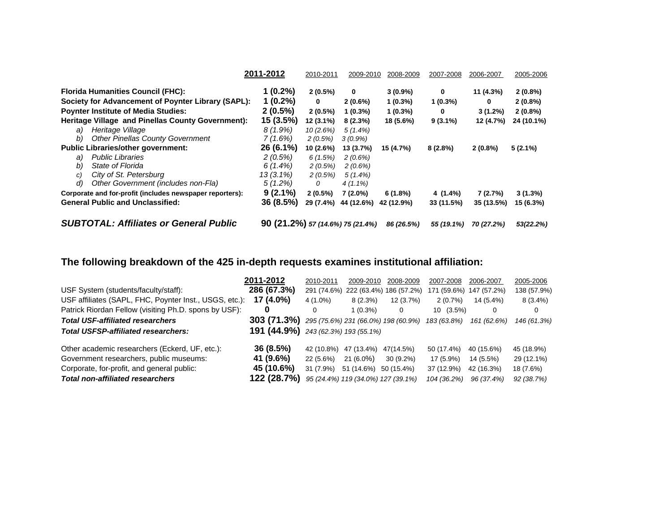|                                                          | 2011-2012                        | 2010-2011  | 2009-2010   | 2008-2009  | 2007-2008  | 2006-2007  | 2005-2006  |
|----------------------------------------------------------|----------------------------------|------------|-------------|------------|------------|------------|------------|
| <b>Florida Humanities Council (FHC):</b>                 | $1(0.2\%)$                       | $2(0.5\%)$ | $\mathbf 0$ | $3(0.9\%)$ | 0          | 11 (4.3%)  | $2(0.8\%)$ |
| Society for Advancement of Poynter Library (SAPL):       | $1(0.2\%)$                       | 0          | 2(0.6%)     | $1(0.3\%)$ | $1(0.3\%)$ | 0          | $2(0.8\%)$ |
| <b>Poynter Institute of Media Studies:</b>               | $2(0.5\%)$                       | $2(0.5\%)$ | $1(0.3\%)$  | $1(0.3\%)$ | 0          | $3(1.2\%)$ | $2(0.8\%)$ |
| Heritage Village and Pinellas County Government):        | 15(3.5%)                         | 12 (3.1%)  | $8(2.3\%)$  | 18 (5.6%)  | $9(3.1\%)$ | 12 (4.7%)  | 24 (10.1%) |
| Heritage Village<br>a)                                   | 8 (1.9%)                         | 10(2.6%)   | $5(1.4\%)$  |            |            |            |            |
| <b>Other Pinellas County Government</b><br>b)            | 7(1.6%)                          | 2(0.5%)    | $3(0.9\%)$  |            |            |            |            |
| <b>Public Libraries/other government:</b>                | 26 (6.1%)                        | 10(2.6%)   | 13 (3.7%)   | 15 (4.7%)  | $8(2.8\%)$ | $2(0.8\%)$ | $5(2.1\%)$ |
| <b>Public Libraries</b><br>a)                            | 2(0.5%)                          | 6(1.5%)    | 2(0.6%)     |            |            |            |            |
| State of Florida<br>b)                                   | 6(1.4%)                          | 2(0.5%)    | 2(0.6%)     |            |            |            |            |
| City of St. Petersburg<br>C)                             | 13 (3.1%)                        | 2(0.5%)    | $5(1.4\%)$  |            |            |            |            |
| Other Government (includes non-Fla)<br>d)                | $5(1.2\%)$                       | 0          | $4(1.1\%)$  |            |            |            |            |
| Corporate and for-profit (includes newspaper reporters): | $9(2.1\%)$                       | $2(0.5\%)$ | $7(2.0\%)$  | 6(1.8%)    | 4 (1.4%)   | 7(2.7%)    | $3(1.3\%)$ |
| <b>General Public and Unclassified:</b>                  | 36(8.5%)                         | 29 (7.4%)  | 44 (12.6%)  | 42 (12.9%) | 33 (11.5%) | 35 (13.5%) | 15 (6.3%)  |
| <b>SUBTOTAL: Affiliates or General Public</b>            | 90 (21.2%) 57 (14.6%) 75 (21.4%) |            |             | 86 (26.5%) | 55 (19.1%) | 70 (27.2%) | 53(22.2%)  |

# **The following breakdown of the 425 in-depth requests examines institutional affiliation:**

|                                                        | 2011-2012                                              | 2010-2011   | 2009-2010                          | 2008-2009               | 2007-2008   | 2006-2007   | 2005-2006   |
|--------------------------------------------------------|--------------------------------------------------------|-------------|------------------------------------|-------------------------|-------------|-------------|-------------|
| USF System (students/faculty/staff):                   | 286 (67.3%)                                            | 291 (74.6%) |                                    | 222 (63.4%) 186 (57.2%) | 171 (59.6%) | 147 (57.2%) | 138 (57.9%) |
| USF affiliates (SAPL, FHC, Poynter Inst., USGS, etc.): | 17 (4.0%)                                              | 4 (1.0%)    | 8(2.3%)                            | 12(3.7%)                | 2(0.7%)     | 14 (5.4%)   | $8(3.4\%)$  |
| Patrick Riordan Fellow (visiting Ph.D. spons by USF):  |                                                        |             | $1(0.3\%)$                         | 0                       | $10(3.5\%)$ |             | 0           |
| <b>Total USF-affiliated researchers</b>                | <b>303 (71.3%)</b> 295 (75.6%) 231 (66.0%) 198 (60.9%) |             |                                    |                         | 183 (63.8%) | 161 (62.6%) | 146 (61.3%) |
| <b>Total USFSP-affiliated researchers:</b>             | <b>191 (44.9%)</b> 243 (62.3%) 193 (55.1%)             |             |                                    |                         |             |             |             |
| Other academic researchers (Eckerd, UF, etc.):         | 36 (8.5%)                                              | 42 (10.8%)  | 47 (13.4%)                         | 47(14.5%)               | 50 (17.4%)  | 40 (15.6%)  | 45 (18.9%)  |
| Government researchers, public museums:                | 41 (9.6%)                                              | 22 (5.6%)   | $21(6.0\%)$                        | 30 (9.2%)               | 17 (5.9%)   | 14 (5.5%)   | 29 (12.1%)  |
| Corporate, for-profit, and general public:             | 45 (10.6%)                                             | 31 (7.9%)   | 51 (14.6%)                         | 50 (15.4%)              | 37 (12.9%)  | 42 (16.3%)  | 18 (7.6%)   |
| Total non-affiliated researchers                       | 122 (28.7%)                                            |             | 95 (24.4%) 119 (34.0%) 127 (39.1%) |                         | 104 (36.2%) | 96 (37.4%)  | 92 (38.7%)  |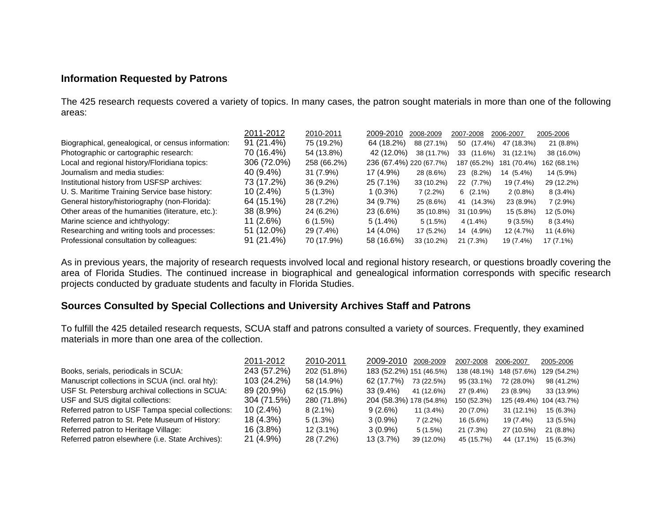### **Information Requested by Patrons**

The 425 research requests covered a variety of topics. In many cases, the patron sought materials in more than one of the following areas:

|                                                    | 2011-2012   | 2010-2011   | 2009-2010               | 2008-2009  | 2007-2008        | 2006-2007   | 2005-2006   |
|----------------------------------------------------|-------------|-------------|-------------------------|------------|------------------|-------------|-------------|
| Biographical, genealogical, or census information: | 91 (21.4%)  | 75 (19.2%)  | 64 (18.2%)              | 88 (27.1%) | $(17.4\%)$<br>50 | 47 (18.3%)  | 21 (8.8%)   |
| Photographic or cartographic research:             | 70 (16.4%)  | 54 (13.8%)  | 42 (12.0%)              | 38 (11.7%) | $(11.6\%)$<br>33 | 31 (12.1%)  | 38 (16.0%)  |
| Local and regional history/Floridiana topics:      | 306 (72.0%) | 258 (66.2%) | 236 (67.4%) 220 (67.7%) |            | 187 (65.2%)      | 181 (70.4%) | 162 (68.1%) |
| Journalism and media studies:                      | 40 (9.4%)   | $31(7.9\%)$ | 17 (4.9%)               | 28 (8.6%)  | $(8.2\%)$<br>23  | 14 (5.4%)   | 14 (5.9%)   |
| Institutional history from USFSP archives:         | 73 (17.2%)  | $36(9.2\%)$ | $25(7.1\%)$             | 33 (10.2%) | 22 (7.7%)        | 19 (7.4%)   | 29 (12.2%)  |
| U. S. Maritime Training Service base history:      | 10 (2.4%)   | $5(1.3\%)$  | 1 (0.3%)                | $7(2.2\%)$ | $6(2.1\%)$       | $2(0.8\%)$  | $8(3.4\%)$  |
| General history/historiography (non-Florida):      | 64 (15.1%)  | 28 (7.2%)   | 34 (9.7%)               | 25 (8.6%)  | 41 (14.3%)       | 23 (8.9%)   | $7(2.9\%)$  |
| Other areas of the humanities (literature, etc.):  | 38 (8.9%)   | 24 (6.2%)   | 23 (6.6%)               | 35 (10.8%) | 31 (10.9%)       | 15 (5.8%)   | 12 (5.0%)   |
| Marine science and ichthyology:                    | 11 (2.6%)   | 6(1.5%)     | $5(1.4\%)$              | 5(1.5%)    | 4 (1.4%)         | $9(3.5\%)$  | $8(3.4\%)$  |
| Researching and writing tools and processes:       | 51 (12.0%)  | 29 (7.4%)   | 14 (4.0%)               | 17 (5.2%)  | 14 (4.9%)        | 12 (4.7%)   | 11 (4.6%)   |
| Professional consultation by colleagues:           | 91 (21.4%)  | 70 (17.9%)  | 58 (16.6%)              | 33 (10.2%) | 21 (7.3%)        | 19 (7.4%)   | $17(7.1\%)$ |

As in previous years, the majority of research requests involved local and regional history research, or questions broadly covering the area of Florida Studies. The continued increase in biographical and genealogical information corresponds with specific research projects conducted by graduate students and faculty in Florida Studies.

### **Sources Consulted by Special Collections and University Archives Staff and Patrons**

To fulfill the 425 detailed research requests, SCUA staff and patrons consulted a variety of sources. Frequently, they examined materials in more than one area of the collection.

|                                                   | 2011-2012   | 2010-2011   | 2009-2010               | 2008-2009   | 2007-2008   | 2006-2007   | 2005-2006   |
|---------------------------------------------------|-------------|-------------|-------------------------|-------------|-------------|-------------|-------------|
| Books, serials, periodicals in SCUA:              | 243 (57.2%) | 202 (51.8%) | 183 (52.2%) 151 (46.5%) |             | 138 (48.1%) | 148 (57.6%) | 129 (54.2%) |
| Manuscript collections in SCUA (incl. oral hty):  | 103 (24.2%) | 58 (14.9%)  | 62 (17.7%)              | 73 (22.5%)  | 95 (33.1%)  | 72 (28.0%)  | 98 (41.2%)  |
| USF St. Petersburg archival collections in SCUA:  | 89 (20.9%)  | 62 (15.9%)  | $33(9.4\%)$             | 41 (12.6%)  | 27 (9.4%)   | 23 (8.9%)   | 33 (13.9%)  |
| USF and SUS digital collections:                  | 304 (71.5%) | 280 (71.8%) | 204 (58.3%) 178 (54.8%) |             | 150 (52.3%) | 125 (49.4%) | 104 (43.7%) |
| Referred patron to USF Tampa special collections: | $10(2.4\%)$ | $8(2.1\%)$  | 9(2.6%)                 | $11(3.4\%)$ | $20(7.0\%)$ | 31 (12.1%)  | 15 (6.3%)   |
| Referred patron to St. Pete Museum of History:    | 18 (4.3%)   | $5(1.3\%)$  | $3(0.9\%)$              | $7(2.2\%)$  | 16 (5.6%)   | 19 (7.4%)   | 13 (5.5%)   |
| Referred patron to Heritage Village:              | 16 (3.8%)   | $12(3.1\%)$ | $3(0.9\%)$              | 5(1.5%)     | 21 (7.3%)   | 27 (10.5%)  | 21 (8.8%)   |
| Referred patron elsewhere (i.e. State Archives):  | 21 (4.9%)   | 28 (7.2%)   | 13 (3.7%)               | 39 (12.0%)  | 45 (15.7%)  | 44 (17.1%)  | $15(6.3\%)$ |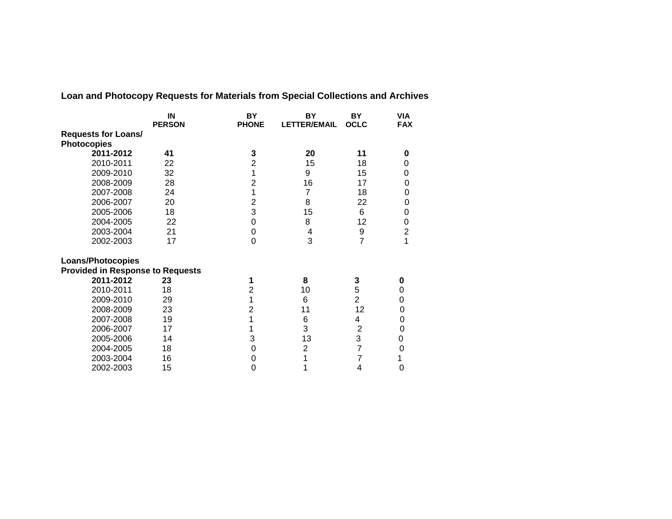|                                         | IN<br><b>PERSON</b> | <b>BY</b><br><b>PHONE</b> | BY<br><b>LETTER/EMAIL</b> | <b>BY</b><br><b>OCLC</b> | <b>VIA</b><br><b>FAX</b> |
|-----------------------------------------|---------------------|---------------------------|---------------------------|--------------------------|--------------------------|
| <b>Requests for Loans/</b>              |                     |                           |                           |                          |                          |
| <b>Photocopies</b>                      |                     |                           |                           |                          |                          |
| 2011-2012                               | 41                  | 3                         | 20                        | 11                       | 0                        |
| 2010-2011                               | 22                  | $\overline{2}$            | 15                        | 18                       | 0                        |
| 2009-2010                               | 32                  | 1                         | 9                         | 15                       | 0                        |
| 2008-2009                               | 28                  | $\overline{2}$            | 16                        | 17                       | 0                        |
| 2007-2008                               | 24                  | 1                         | 7                         | 18                       | 0                        |
| 2006-2007                               | 20                  | 2                         | 8                         | 22                       | 0                        |
| 2005-2006                               | 18                  | 3                         | 15                        | 6                        | 0                        |
| 2004-2005                               | 22                  | 0                         | 8                         | 12                       | 0                        |
| 2003-2004                               | 21                  | 0                         | 4                         | 9                        | $\overline{c}$           |
| 2002-2003                               | 17                  | $\Omega$                  | 3                         | $\overline{7}$           | 1                        |
| <b>Loans/Photocopies</b>                |                     |                           |                           |                          |                          |
| <b>Provided in Response to Requests</b> |                     |                           |                           |                          |                          |
| 2011-2012                               | 23                  | 1                         | 8                         | 3                        | 0                        |
| 2010-2011                               | 18                  | $\overline{2}$            | 10                        | 5                        | 0                        |
| 2009-2010                               | 29                  | 1                         | 6                         | $\overline{2}$           | 0                        |
| 2008-2009                               | 23                  | $\overline{2}$            | 11                        | 12                       | 0                        |
| 2007-2008                               | 19                  | 1                         | 6                         | 4                        | 0                        |
| 2006-2007                               | 17                  | 1                         | 3                         | $\overline{2}$           | 0                        |
| 2005-2006                               | 14                  | 3                         | 13                        | 3                        | $\boldsymbol{0}$         |
| 2004-2005                               | 18                  | 0                         | $\overline{2}$            | 7                        | $\mathbf 0$              |
| 2003-2004                               | 16                  | 0                         | 1                         | 7                        | 1                        |
| 2002-2003                               | 15                  | 0                         | 1                         | 4                        | 0                        |

**Loan and Photocopy Requests for Materials from Special Collections and Archives**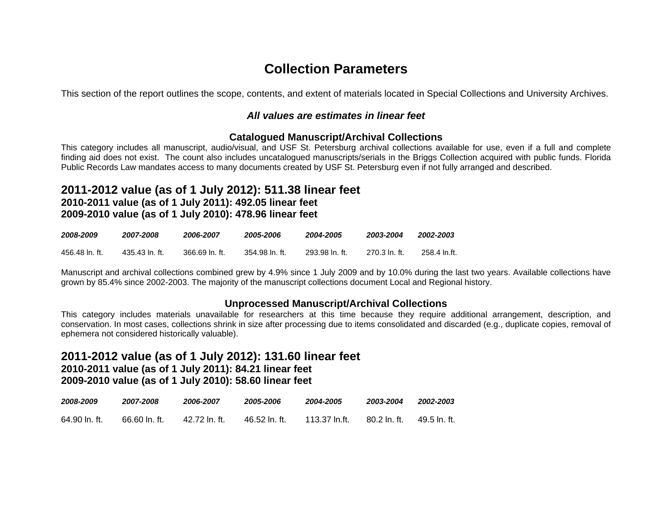# **Collection Parameters**

This section of the report outlines the scope, contents, and extent of materials located in Special Collections and University Archives.

### *All values are estimates in linear feet*

### **Catalogued Manuscript/Archival Collections**

This category includes all manuscript, audio/visual, and USF St. Petersburg archival collections available for use, even if a full and complete finding aid does not exist. The count also includes uncatalogued manuscripts/serials in the Briggs Collection acquired with public funds. Florida Public Records Law mandates access to many documents created by USF St. Petersburg even if not fully arranged and described.

### **2011-2012 value (as of 1 July 2012): 511.38 linear feet 2010-2011 value (as of 1 July 2011): 492.05 linear feet 2009-2010 value (as of 1 July 2010): 478.96 linear feet**

| 2008-2009      | 2007-2008      | 2006-2007      | 2005-2006      | 2004-2005      | 2003-2004      | 2002-2003    |
|----------------|----------------|----------------|----------------|----------------|----------------|--------------|
| 456.48 ln. ft. | 435.43 ln. ft. | 366.69 In. ft. | 354.98 In. ft. | 293.98 ln. ft. | .270.3 In. ft. | 258.4 In.ft. |

Manuscript and archival collections combined grew by 4.9% since 1 July 2009 and by 10.0% during the last two years. Available collections have grown by 85.4% since 2002-2003. The majority of the manuscript collections document Local and Regional history.

### **Unprocessed Manuscript/Archival Collections**

This category includes materials unavailable for researchers at this time because they require additional arrangement, description, and conservation. In most cases, collections shrink in size after processing due to items consolidated and discarded (e.g., duplicate copies, removal of ephemera not considered historically valuable).

### **2011-2012 value (as of 1 July 2012): 131.60 linear feet 2010-2011 value (as of 1 July 2011): 84.21 linear feet**

### **2009-2010 value (as of 1 July 2010): 58.60 linear feet**

| 2008-2009     | 2007-2008     | 2006-2007     | 2005-2006     | 2004-2005     | 2003-2004      | 2002-2003    |
|---------------|---------------|---------------|---------------|---------------|----------------|--------------|
| 64.90 ln. ft. | 66.60 ln. ft. | 42.72 ln. ft. | 46.52 ln. ft. | 113.37 In.ft. | . 80.2 In. ft. | 49.5 ln. ft. |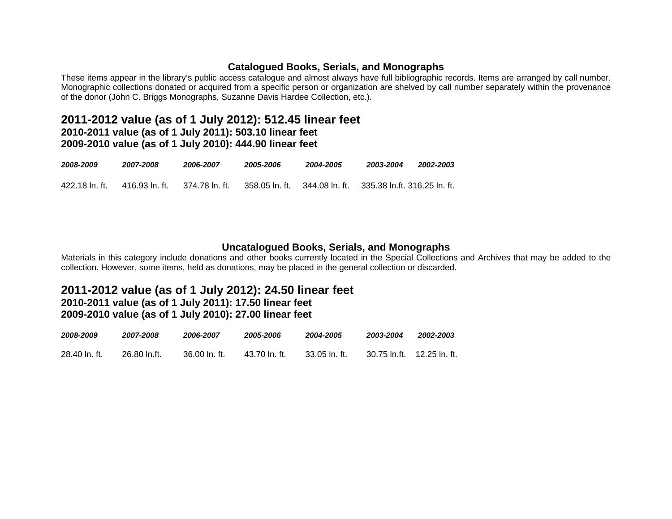### **Catalogued Books, Serials, and Monographs**

These items appear in the library's public access catalogue and almost always have full bibliographic records. Items are arranged by call number. Monographic collections donated or acquired from a specific person or organization are shelved by call number separately within the provenance of the donor (John C. Briggs Monographs, Suzanne Davis Hardee Collection, etc.).

### **2011-2012 value (as of 1 July 2012): 512.45 linear feet 2010-2011 value (as of 1 July 2011): 503.10 linear feet**

**2009-2010 value (as of 1 July 2010): 444.90 linear feet**

| 2008-2009      | 2007-2008      | 2006-2007       | 2005-2006        | 2004-2005 | 2003-2004 | 2002-2003 |
|----------------|----------------|-----------------|------------------|-----------|-----------|-----------|
| 422.18 ln. ft. | 416.93 In. ft. | .374.78 In. ft. | . 358.05 In. ft. |           |           |           |

### **Uncatalogued Books, Serials, and Monographs**

Materials in this category include donations and other books currently located in the Special Collections and Archives that may be added to the collection. However, some items, held as donations, may be placed in the general collection or discarded.

### **2011-2012 value (as of 1 July 2012): 24.50 linear feet 2010-2011 value (as of 1 July 2011): 17.50 linear feet 2009-2010 value (as of 1 July 2010): 27.00 linear feet**

| 2008-2009     | 2007-2008    | 2006-2007        | 2005-2006     | 2004-2005      | 2003-2004 | 2002-2003 |
|---------------|--------------|------------------|---------------|----------------|-----------|-----------|
| 28.40 ln. ft. | 26.80 ln.ft. | $36.00 \ln ft$ . | 43.70 ln. ft. | -33.05 ln. ft. |           |           |